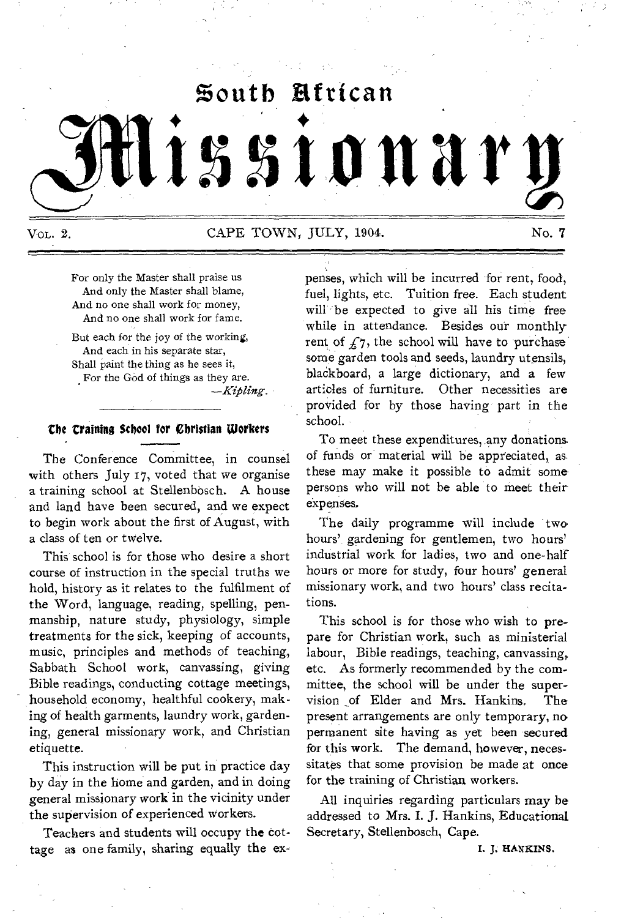# $\mathfrak{g}$ outh African

# lissionar

Vol. 2. CAPE TOWN, JULY, 1904. No. 7

For only the Master shall praise us And only the Master shall blame, And no one shall work for money, And no one shall work for fame.

But each for the joy of the working, And each in his separate star, Shall paint the thing as he sees it, For the God of things as they are.

*—Kifiling.* 

#### the **training** School for Christian Workers

The Conference Committee, in counsel with others July 17, voted that we organise a training school at Stellenbosch. A house and land have been secured, and we expect to begin work about the first of August, with a class of ten or twelve.

This school is for those who desire a short course of instruction in the special truths we hold, history as it relates to the fulfilment of the Word, language, reading, spelling, penmanship, nature study, physiology, simple treatments for the sick, keeping of accounts, music, principles and methods of teaching, Sabbath School work, canvassing, giving Bible readings, conducting cottage meetings, household economy, healthful cookery, making of health garments, laundry work, gardening, general missionary work, and Christian etiquette.

This instruction will be put in practice day by day in the home and garden, and in doing general missionary work in the vicinity under the supervision of experienced workers.

Teachers and students will occupy the cottage as one family, sharing equally the expenses, which will be incurred for rent, food, fuel, lights, etc. Tuition free. Each student will be expected to give all his time free while in attendance. Besides our monthly rent of  $f_7$ , the school will have to purchase some garden tools and seeds, laundry utensils, blackboard, a large dictionary, and a few articles of furniture. Other necessities are provided for by those having part in the school.

To meet these expenditures, any donations of funds or material will be appreciated, as these may make it possible to admit some persons who will not be able to meet their expenses.

The daily programme will include two hours', gardening for gentlemen, two hours' industrial work for ladies, two and one-half hours or more for study, four hours' general missionary work, and two hours' class recitations.

This school is for those who wish to prepare for Christian work, such as ministerial labour, Bible readings, teaching, canvassing, etc. As formerly recommended by the committee, the school will be under the supervision ,of Elder and Mrs. Hankins, The present arrangements are only temporary, no permanent site having as yet been secured for this work. The demand, however, necessitates that some provision be made at once for the training of Christian workers.

All inquiries regarding particulars may be addressed to Mrs. I. J. Hankins, Educational Secretary, Stellenbosch, Cape.

I. I. HANKINS.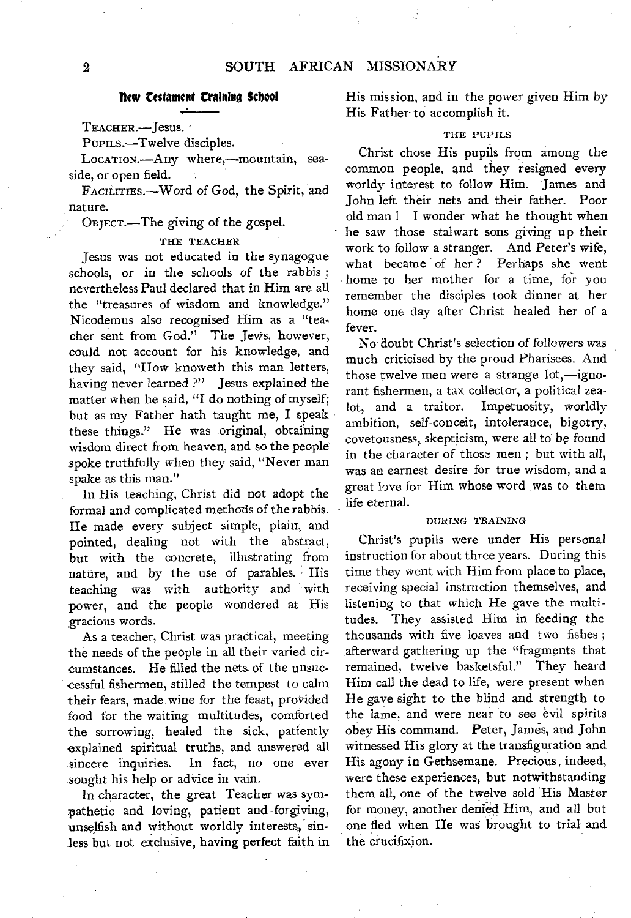#### flew testament training School

TEACHER.—Jesus.

PUPILS.—Twelve disciples.

LOCATION.—Any where,—mountain, seaside, or open field.

FActuriEs.—Word of God, the Spirit, and nature.

OBJECT.—The giving of the gospel.

#### THE TEACHER

Jesus was not educated in the synagogue schools, or in the schools of the rabbis ; nevertheless Paul declared that in Him are all the "treasures of wisdom and knowledge." Nicodemus also recognised Him as a "teacher sent from God." The Jews, however, could not account for his knowledge, and they said, "How knoweth this man letters, having never learned ?" Jesus explained the matter when he said, "I do nothing of myself; but as my Father hath taught me, I speak these things." He was original, obtaining wisdom direct from heaven, and so the people spoke truthfully when they said, "Never man spake as this man."

In His teaching, Christ did not adopt the formal and complicated methods of the rabbis. He made every subject simple, plain, and pointed, dealing not with the abstract, but with the concrete, illustrating from nature, and by the use of parables. His teaching was with authority and with power, and the people wondered at His gracious words.

As a teacher, Christ was practical, meeting the needs of the people in all their varied circumstances. He filled the nets of the unsuccessful fishermen, stilled the tempest to calm their fears, made wine for the feast, provided food for the waiting multitudes, comforted the sorrowing, healed the sick, patiently explained spiritual truths, and answered all sincere inquiries. In fact, no one ever sought his help or advice in vain.

In character, the great Teacher was sympathetic and loving, patient and forgiving, unselfish and without worldly interests, sinless but not exclusive, having perfect faith in His mission, and in the power given Him by His Father to accomplish it.

#### THE PUPILS

Christ chose His pupils from among the common people, and they resigned every worldy interest to follow Him. James and John left their nets and their father. Poor old man ! I wonder what he thought when he saw those stalwart sons giving up their work to follow a stranger. And, Peter's wife, what became of her ? Perhaps she went home to her mother for a time, for you remember the disciples took dinner at her home one day after Christ healed her of a fever.

No doubt Christ's selection of followers was much criticised by the proud Pharisees. And those twelve men were a strange lot,—ignorant fishermen, a tax collector, a political zealot, and a traitor. Impetuosity, worldly ambition, self-conceit, intolerance, bigotry, covetousness, skepticism, were all to be found in the character of those men ; but with all, was an earnest desire for true wisdom, and a great love for Him whose word was to them life eternal.

#### DURING TRAINING

Christ's pupils were under His personal instruction for about three years. During this time they went with Him from place to place, receiving special instruction themselves, and listening to that which He gave the multitudes. They assisted Him in feeding the thousands with five loaves and two fishes ; afterward gathering up the "fragments that remained, twelve basketsful." They heard Him call the dead to life, were present when He gave sight to the blind and strength to the lame, and were near to see evil spirits obey His command. Peter, James, and John witnessed His glory at the transfiguration and His agony in Gethsemane. Precious, indeed, were these experiences, but notwithstanding them all, one of the twelve sold His Master for money, another denied Him, and all but one fled when He was brought to trial and the crucifixion.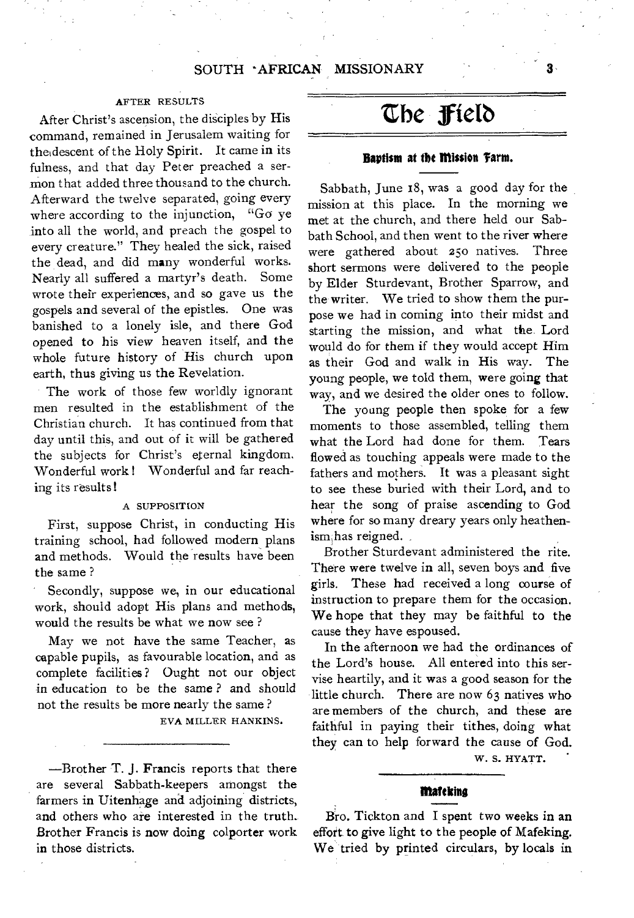#### AFTER RESULTS

After Christ's ascension, the disciples by His command, remained in Jerusalem waiting for theidescent of the Holy Spirit. It came in its fulness, and that day Peter preached a sermon that added three thousand to the church. Afterward the twelve separated, going every where according to the injunction, "Go ye into all the world, and preach the gospel to every creature." They healed the sick, raised the dead, and did many wonderful works. Nearly all suffered a martyr's death. Some wrote their experiences, and so gave us the gospels and several of the epistles. One was banished to a lonely isle, and there God opened to his view heaven itself, and the whole future history of His church upon earth, thus giving us the Revelation.

The work of those few worldly ignorant men resulted in the establishment of the Christian church. It has continued from that day until this, and out of it will be gathered the subjects for Christ's eternal kingdom. Wonderful work ! Wonderful and far reaching its results !

#### A SUPPOSITION

First, suppose Christ, in conducting His training school, had followed modern plans and methods. Would the results have been the same ?

Secondly, suppose we, in our educational work, should adopt His plans and methods, would the results be what we now see ?

May we not have the same Teacher, as capable pupils, as favourable location, and as complete facilities? Ought not our object in education to be the same ? and should not the results be more nearly the same ?

EVA MILLER HANKINS.

—Brother T. J. Francis reports that there are several Sabbath-keepers amongst the farmers in Uitenhage and adjoining districts, and others who are interested in the truth.. Brother Francis is now doing colporter work in those districts.

## **the fietb**

#### **Baptism at the mission 'farm.**

Sabbath, June 18, was a good day for the mission at this place. In the morning we met at the church, and there held our Sabbath School, and then went to the river where were gathered about 250 natives. Three short sermons were delivered to the people by Elder Sturdevant, Brother Sparrow, and the writer. We tried to show them the purpose we had in coming into their midst and starting the mission, and what the. Lord would do for them if they would accept Him as their God and walk in His way. The young people, we told them, were going that way, and we desired the older ones to follow.

The young people then spoke for a few moments to those assembled, telling them what the Lord had done for them. Tears flowed as touching appeals were made to the fathers and mothers. It was a pleasant sight to see these buried with their Lord, and to hear the song of praise ascending to God where for so many dreary years only heathenism,has reigned.

Brother Sturdevant administered the rite. There were twelve in all, seven boys and five girls. These had received a long course of instruction to prepare them for the occasion. We hope that they may be faithful to the cause they have espoused.

In the afternoon we had the ordinances of the Lord's house. All entered into this servise heartily, and it was a good season for the little church. There are now 63 natives who are members of the church, and these are faithful in paying their tithes, doing what they can to help forward the cause of God.

W. S. HYATT.

#### **Medina**

Bro. Tickton and I spent two weeks in an effort to give light to the people of Mafeking. We tried by printed circulars, by locals in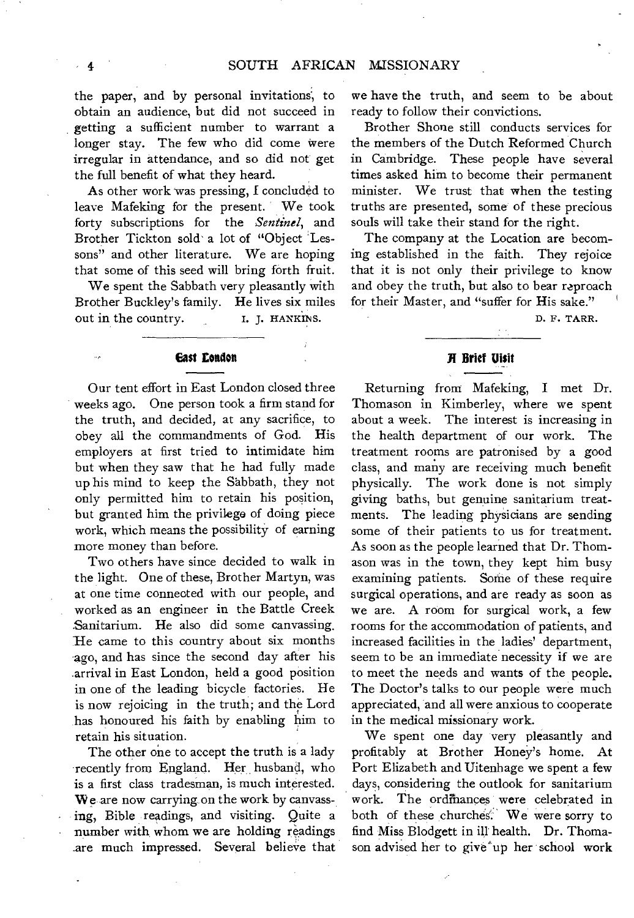the paper, and by personal invitations', to obtain an audience, but did not succeed in getting a sufficient number to warrant a longer stay. The few who did come were irregular in attendance, and so did not get the full benefit of what they heard.

As other work was pressing, I concluded to leave Mafeking for the present. We took forty subscriptions for the *Sentinel,* and Brother Tickton sold' a lot of "Object Lessons" and other literature. We are hoping that some of this seed will bring forth fruit.

We spent the Sabbath very pleasantly with Brother Buckley's family. He lives six miles out in the country. I. J. HANKINS.

#### **East London**

Our tent effort in East London closed three weeks ago. One person took a firm stand for the truth, and decided, at any sacrifice, to obey all the commandments of God. His employers at first tried to intimidate him but when they saw that he had fully made up his mind to keep the Sabbath, they not only permitted him to retain his position, but granted him the privilege of doing piece work, which means the possibility of earning more money than before.

Two others have since decided to walk in the light. One of these, Brother Martyn, was at one time connected with our people, and worked as an engineer in the Battle Creek Sanitarium. He also did some canvassing. He came to this country about six months ago, and has since the second day after his arrival in East London, held a good position in one of the leading bicycle factories. He is now rejoicing in the truth; and the Lord has honoured his faith by enabling him to retain his situation.

The other one to accept the truth is a lady recently from England. Her husband, who is a first class tradesman, is much interested. We are now carrying on the work by canvassing, Bible readings, and visiting. Quite a number with whom we are holding readings are much impressed. Several believe that we have the truth, and seem to be about ready to follow their convictions.

Brother Shone still conducts services for the members of the Dutch Reformed Church in Cambridge. These people have several times asked him to become their permanent minister. We trust that when the testing truths are presented, some of these precious souls will take their stand for the right.

The company at the Location are becoming established in the faith. They rejoice that it is not only their privilege to know and obey the truth, but also to bear reproach for their Master, and "suffer for His sake."

D. F. TARR.

#### **Brief visit**

Returning from Mafeking, I met Dr. Thomason in Kimberley, where we spent about a week. The interest is increasing in the health department of our work. The treatment rooms are patronised by a good class, and many are receiving much benefit physically. The work done is not simply giving baths, but genuine sanitarium treatments. The leading physicians are sending some of their patients to us for treatment. As soon as the people learned that Dr. Thomason was in the town, they kept him busy examining patients. Some of these require surgical operations, and are ready as soon as we are. A room for surgical work, a few rooms for the accommodation of patients, and increased facilities in the ladies' department, seem to be an immediate necessity if we are to meet the needs and wants of the people. The Doctor's talks to our people were much appreciated, and all were anxious to cooperate in the medical missionary work.

We spent one day 'very pleasantly and profitably at Brother Honey's home. At Port Elizabeth and Uitenhage we spent a few days, considering the outlook for sanitarium work. The ordinances were celebrated in both of these churches'. We were sorry to find Miss Blodgett in ill' health. Dr. Thomason advised her to give up her school work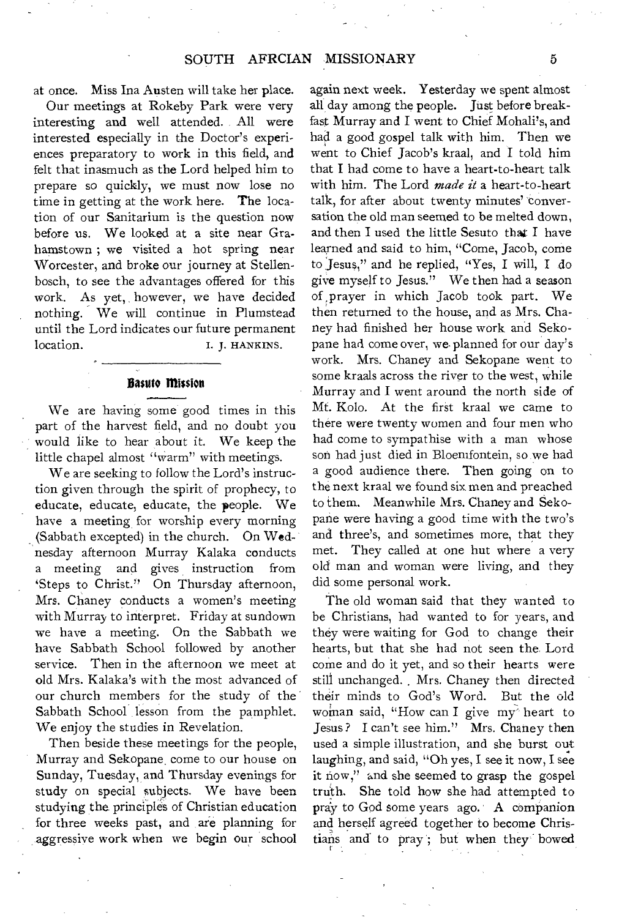at once. Miss Ina Austen will take her place.

Our meetings at Rokeby Park were very interesting and well attended. All were interested especially in the Doctor's experiences preparatory to work in this field, and felt that inasmuch as the Lord helped him to prepare so quickly, we must now lose no time in getting at the work here. The location of our Sanitarium is the question now before us. We looked at a site near Grahamstown ; we visited a hot spring near Worcester, and broke our journey at Stellenbosch, to see the advantages offered for this work. As yet, however, we have decided nothing. We will continue in Plumstead until the Lord indicates our future permanent location. I. J. HANKINS.

#### **Basuto Mission**

We are having some good times in this part of the harvest field, and no doubt you would like to hear about it. We keep the little chapel almost "warm" with meetings.

We are seeking to follow the Lord's instruction given through the spirit of prophecy, to educate, educate, educate, the people. We have a meeting for worship every morning (Sabbath excepted) in the church. On Wednesday afternoon Murray Kalaka conducts a meeting and gives instruction from 'Steps to Christ." On Thursday afternoon, Mrs. Chaney conducts a women's meeting with Murray to interpret. Friday at sundown we have a meeting. On the Sabbath we have Sabbath School followed by another service. Then in the afternoon we meet at old Mrs. Kalaka's with the most advanced of our church members for the study of the Sabbath School lesson from the pamphlet. We enjoy the studies in Revelation.

Then beside these meetings for the people, Murray and Sekopane come to our house on Sunday, Tuesday, and Thursday evenings for study on special subjects. We have been studying the principles of Christian education for three weeks past, and are planning for aggressive work when we begin our school

again next week. Yesterday we spent almost all day among the people. Just before breakfast Murray and I went to Chief Mohali's, and had a good gospel talk with him. Then we went to Chief Jacob's kraal, and I told him that I had come to have a heart-to-heart talk with him. The Lord *made it* a heart-to-heart talk, for after about twenty minutes' conversation the old man seemed to be melted down, and then I used the little Sesuto that I have learned and said to him, "Come, Jacob, come to 'Jesus," and he replied, "Yes, I will, I do give myself to Jesus." We then had a season of ,prayer in which Jacob took part. We then returned to the house, and as Mrs. Chaney had finished her house work and Sekopane had come over, we planned for our day's work. Mrs. Chaney and Sekopane went to some kraals across the river to the west, while Murray and I went around the north side of Mt. Kolo. At the first kraal we came to there were twenty women and four men who had come to sympathise with a man whose son had just died in Bloemfontein, so we had a good audience there. Then going on to the next kraal we found six men and preached to them. Meanwhile Mrs. Chaney and Sekopane were having a good time with the two's and three's, and sometimes more, that they met. They called at one hut where a very old man and woman were living, and they did some personal work.

The old woman said that they wanted to be Christians, had wanted to for years, and they were waiting for God to change their hearts, but that she had not seen the. Lord come and do it yet, and so their hearts were still unchanged. , Mrs. Chaney then directed their minds to God's Word. But the old woman said, "How can I give my heart to Jesus ? I can't see him." Mrs. Chaney then used a simple illustration, and she burst out laughing, and said, "Oh yes, I see it now, I see it now," and she seemed to grasp the gospel truth. She told how she had attempted to pray to God some years ago. A companion and herself agreed together to become Christians and to pray'; but when they bowed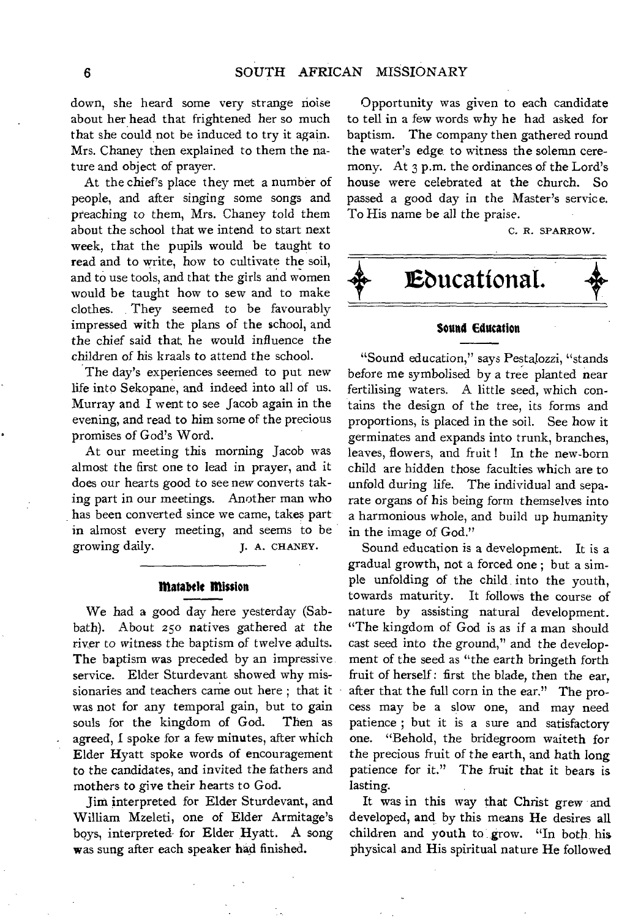down, she heard some very strange noise about her head that frightened her so much that she could not be induced to try it again. Mrs. Chaney then explained to them the nature and object of prayer.

At the chief's place they met a number of people, and after singing some songs and preaching to them, Mrs. Chaney told them about the school that we intend to start next week, that the pupils would be taught to read and to write, how to cultivate the soil, and to use tools, and that the girls and women would be taught how to sew and to make clothes. They seemed to be favourably impressed with the plans of the school, and the chief said that, he would influence the children of his kraals to attend the school.

The day's experiences seemed to put new life into Sekopane, and indeed into all of us. Murray and I went to see Jacob again in the evening, and read to him some of the precious promises of God's Word.

At our meeting this morning Jacob was almost the first one to lead in prayer, and it does our hearts good to see new converts taking part in our meetings. Another man who has been converted since we came, takes part in almost every meeting, and seems to be growing daily. J. A. CHANEY.

#### **Matabele Mission**

We had a good day here yesterday (Sabbath). About 25o natives gathered at the river to witness the baptism of twelve adults. The baptism was preceded by an impressive service. Elder Sturdevant showed why missionaries and teachers came out here ; that it was not for any temporal gain, but to gain souls for the kingdom of God. Then as agreed, I spoke for a few minutes, after which Elder Hyatt spoke words of encouragement to the candidates, and invited the fathers and mothers to give their hearts to God.

Jim interpreted for Elder Sturdevant, and William Mzeleti, one of Elder Armitage's boys, interpreted- for Elder Hyatt. A song was sung after each speaker had finished.

Opportunity was given to each candidate to tell in a few words why he had asked for baptism. The company then gathered round the water's edge to witness the solemn ceremony. At 3 p.m. the ordinances of the Lord's house were celebrated at the church. So passed a good day in the Master's service. To His name be all the praise.

C. R. SPARROW.



"Sound education," says Pestalozzi, "stands before me symbolised by a tree planted near fertilising waters. A little seed, which contains the design of the tree, its forms and proportions, is placed in the soil. See how it germinates and expands into trunk, branches, leaves, flowers, and fruit ! In the new-born child are hidden those faculties which are to unfold during life. The individual and separate organs *of* his being form themselves into a harmonious whole, and build up humanity in the image of God."

Sound education is a development. It is a gradual growth, not a forced one ; but a simple unfolding of the child into the youth, towards maturity. It follows the course of nature by assisting natural development. "The kingdom of God is as if a man should cast seed into the ground," and the development of the seed as "the earth bringeth forth fruit of herself : first the blade, then the ear, after that the full corn in the ear," The process may be a slow one, and may need patience ; but it is a sure and satisfactory one. "Behold, the bridegroom waiteth for the precious fruit of the earth, and hath long patience for it." The fruit that it bears is lasting.

It was in this way that Christ grew and developed, and by this means He desires all children and youth to grow. "In both, his physical and His spiritual nature He followed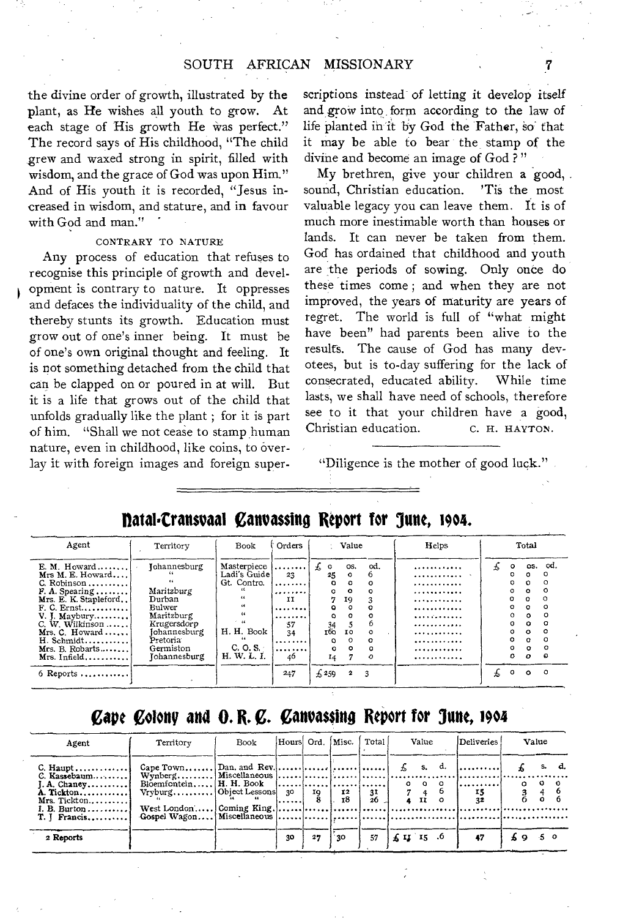#### SOUTH AFRICAN MISSIONARY

the divine order of growth, illustrated by the plant, as He wishes all youth to grow. At each stage of His growth He was perfect." The record says of His childhood, "The child grew and waxed strong in spirit, filled with wisdom, and the grace of God was upon Him." And of His youth it is recorded, "Jesus increased in wisdom, and stature, and in favour with God and man."

#### CONTRARY TO NATURE

Any process of education that refuses to recognise this principle of growth and development is contrary to nature. It oppresses and defaces the individuality of the child, and thereby stunts its growth. Education must grow out of one's inner being. It must be of one's own original thought and feeling. It is not something detached from the child that can be clapped on or poured in at will. But it is a life that grows out of the child that unfolds gradually like the plant ; for it is part of him. "Shall we not cease to stamp human nature, even in childhood, like coins, to overlay it with foreign images and foreign superscriptions instead of letting it develop itself and.grow into form according to the law of life planted in it by God the Father, so that it may be able to bear the stamp of the divine and become an image of God ? "

My brethren, give your children a good, sound, Christian education. 'Tis the most valuable legacy you can leave them. It is of much more inestimable worth than houses or lands. It can never be taken from them. God has ordained that childhood and youth are the periods of sowing. Only once do these times come ; and when they are not improved, the years of maturity are years of regret. The world is full of "what might have been" had parents been alive to the results. The cause of God has many devotees, but is to-day suffering for the lack of consecrated, educated ability. While time lasts, we shall have need of schools, therefore see to it that your children have a good, Christian education. C. H. HAYTON.

"Diligence is the mother of good luck."

#### Agent | Territory | Book Orders | Value | Helps | Total E. M. Howard Johannesburg Masterpiece os. od. o os. od. Mrs M. E. Howard.... Ladi's Guide 23 25 0 6 o 0 C. Robinson Gt. Contro. o 0 o 0 o 0 *F.* A. Spearing Maritzburg o o 0 o 0 Mrs. E. K. Stapleford Durban II 7 19 3 0 o 0 F. C. Ernst Bulwer o o 0 o 0 V. J, Maybury. Maritzburg 0 0 0 0 o 0 C. W. Wilkinson Krugersdorp 57 34 5 6 o 0 Mrs. C. Howard Johannesburg H. H. Book 34 tho so o 0 o 0 H. Schmidt Pretoria o 0 0 o 0  $\begin{matrix} 0 & 0 \\ 0 & 0 \\ 14 & 7 \end{matrix}$ Mrs. B. Robarts Germiston  $\begin{array}{c} \text{C. O. S.} \\ \text{H. W. L. I.} \end{array} \longrightarrow \begin{array}{c} \dots \dots \dots \end{array}$ 0 o  $\Omega$  $\tilde{\circ}$  $\overline{\bullet}$ Mrs. Infield.......... Johannesburg 14  $\Omega$ . . . . . . . . . . . . o 6 Reports 247 259 2 3 o 0 0

### **natal.Cransuaal** C**anvassing Report for June, 19o4.**

## **Cape Colony and O. R. C. Canvassing Report for June, 1904**

| Agent                                               | Territory                 | Book |            | Hours Ord. Misc. |    | Total           | Value                                                    | Deliveries |           | Value |
|-----------------------------------------------------|---------------------------|------|------------|------------------|----|-----------------|----------------------------------------------------------|------------|-----------|-------|
| $C.$ Haupt<br>$C.$ Kassebaum<br>$A. Change y$       | Vryburg Object Lessons 30 |      |            |                  |    |                 | $f_s$ s, d.<br>$0\quad 0\quad 0$                         | 1.<br>.    | o         |       |
| A. Tickton<br>Mrs. Tickton<br>I. B. Burton $\ldots$ |                           |      | ! <b>.</b> | 10               |    | $\frac{31}{26}$ | $\begin{array}{cc} 7 & 4 \\ 4 & \mathrm{II} \end{array}$ | 15<br>32   |           |       |
| T. I Francis                                        |                           |      |            |                  |    |                 |                                                          |            |           |       |
| 2 Reports                                           |                           |      | 30         | 27               | 30 | 57              | $\pm 11$ 15 .6                                           | 47         | $\bullet$ |       |